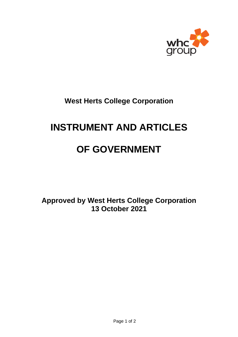

**West Herts College Corporation**

# **INSTRUMENT AND ARTICLES**

# **OF GOVERNMENT**

**Approved by West Herts College Corporation 13 October 2021**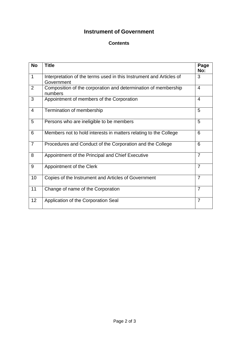## **Instrument of Government**

## **Contents**

| <b>No</b>      | <b>Title</b>                                                                      | Page<br>No:    |
|----------------|-----------------------------------------------------------------------------------|----------------|
| $\mathbf 1$    | Interpretation of the terms used in this Instrument and Articles of<br>Government | 3              |
| 2              | Composition of the corporation and determination of membership<br>numbers         | $\overline{4}$ |
| 3              | Appointment of members of the Corporation                                         | 4              |
| 4              | Termination of membership                                                         | 5              |
| 5              | Persons who are ineligible to be members                                          | 5              |
| $6\phantom{1}$ | Members not to hold interests in matters relating to the College                  | 6              |
| $\overline{7}$ | Procedures and Conduct of the Corporation and the College                         | 6              |
| 8              | Appointment of the Principal and Chief Executive                                  | $\overline{7}$ |
| 9              | Appointment of the Clerk                                                          | $\overline{7}$ |
| 10             | Copies of the Instrument and Articles of Government                               | $\overline{7}$ |
| 11             | Change of name of the Corporation                                                 | $\overline{7}$ |
| 12             | Application of the Corporation Seal                                               | $\overline{7}$ |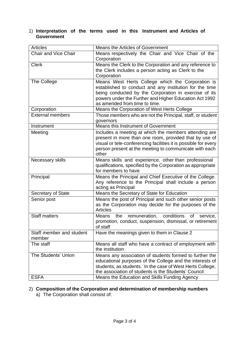## 1) **Interpretation of the terms used in this Instrument and Articles of Government**

| <b>Articles</b>                    | <b>Means the Articles of Government</b>                                                                                                                                                                                                                          |
|------------------------------------|------------------------------------------------------------------------------------------------------------------------------------------------------------------------------------------------------------------------------------------------------------------|
| <b>Chair and Vice Chair</b>        | Means respectively the Chair and Vice Chair of the<br>Corporation                                                                                                                                                                                                |
| <b>Clerk</b>                       | Means the Clerk to the Corporation and any reference to<br>the Clerk includes a person acting as Clerk to the<br>Corporation                                                                                                                                     |
| The College                        | Means West Herts College which the Corporation is<br>established to conduct and any institution for the time<br>being conducted by the Corporation in exercise of its<br>powers under the Further and Higher Education Act 1992<br>as amended from time to time. |
| Corporation                        | Means the Corporation of West Herts College                                                                                                                                                                                                                      |
| <b>External members</b>            | Those members who are not the Principal, staff, or student<br>governors                                                                                                                                                                                          |
| Instrument                         | Means this Instrument of Government                                                                                                                                                                                                                              |
| Meeting                            | Includes a meeting at which the members attending are<br>present in more than one room, provided that by use of<br>visual or tele-conferencing facilities it is possible for every<br>person present at the meeting to communicate with each<br>other            |
| Necessary skills                   | Means skills and experience, other than professional<br>qualifications, specified by the Corporation as appropriate<br>for members to have                                                                                                                       |
| Principal                          | Means the Principal and Chief Executive of the College.<br>Any reference to the Principal shall include a person<br>acting as Principal                                                                                                                          |
| <b>Secretary of State</b>          | Means the Secretary of State for Education                                                                                                                                                                                                                       |
| Senior post                        | Means the post of Principal and such other senior posts<br>as the Corporation may decide for the purposes of the<br><b>Articles</b>                                                                                                                              |
| <b>Staff matters</b>               | conditions<br>remuneration,<br>Means<br>the<br>of<br>service,<br>promotion, conduct, suspension, dismissal, or retirement<br>of staff                                                                                                                            |
| Staff member and student<br>member | Have the meanings given to them in Clause 2                                                                                                                                                                                                                      |
| The staff                          | Means all staff who have a contract of employment with<br>the institution                                                                                                                                                                                        |
| The Students' Union                | Means any association of students formed to further the<br>educational purposes of the College and the interests of<br>students, as students. In the case of West Herts College,<br>the association of students is the Students' Council                         |
| <b>ESFA</b>                        | Means the Education and Skills Funding Agency                                                                                                                                                                                                                    |

# 2) **Composition of the Corporation and determination of membership numbers**

a) The Corporation shall consist of: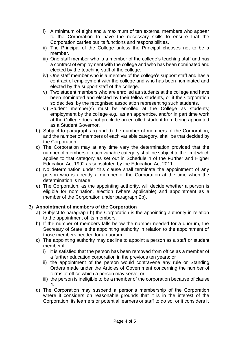- i) A minimum of eight and a maximum of ten external members who appear to the Corporation to have the necessary skills to ensure that the Corporation carries out its functions and responsibilities.
- ii) The Principal of the College unless the Principal chooses not to be a member.
- iii) One staff member who is a member of the college's teaching staff and has a contract of employment with the college and who has been nominated and elected by the teaching staff of the college.
- iv) One staff member who is a member of the college's support staff and has a contract of employment with the college and who has been nominated and elected by the support staff of the college.
- v) Two student members who are enrolled as students at the college and have been nominated and elected by their fellow students, or if the Corporation so decides, by the recognised association representing such students.
- vi) Student member(s) must be enrolled at the College as students; employment by the college e.g., as an apprentice, and/or in part time work at the College does not preclude an enrolled student from being appointed as a Student Governor.
- b) Subject to paragraphs a) and d) the number of members of the Corporation, and the number of members of each variable category, shall be that decided by the Corporation.
- c) The Corporation may at any time vary the determination provided that the number of members of each variable category shall be subject to the limit which applies to that category as set out in Schedule 4 of the Further and Higher Education Act 1992 as substituted by the Education Act 2011.
- d) No determination under this clause shall terminate the appointment of any person who is already a member of the Corporation at the time when the determination is made.
- e) The Corporation, as the appointing authority, will decide whether a person is eligible for nomination, election (where applicable) and appointment as a member of the Corporation under paragraph 2b).

## 3) **Appointment of members of the Corporation**

- a) Subject to paragraph b) the Corporation is the appointing authority in relation to the appointment of its members.
- b) If the number of members falls below the number needed for a quorum, the Secretary of State is the appointing authority in relation to the appointment of those members needed for a quorum.
- c) The appointing authority may decline to appoint a person as a staff or student member if:
	- i) it is satisfied that the person has been removed from office as a member of a further education corporation in the previous ten years; or
	- ii) the appointment of the person would contravene any rule or Standing Orders made under the Articles of Government concerning the number of terms of office which a person may serve; or
	- iii) the person is ineligible to be a member of the corporation because of clause 4.
- d) The Corporation may suspend a person's membership of the Corporation where it considers on reasonable grounds that it is in the interest of the Corporation, its learners or potential learners or staff to do so, or it considers it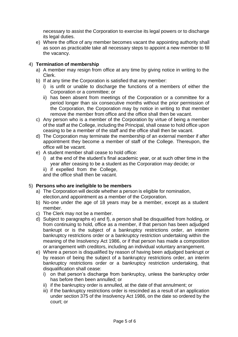necessary to assist the Corporation to exercise its legal powers or to discharge its legal duties.

e) Where the office of any member becomes vacant the appointing authority shall as soon as practicable take all necessary steps to appoint a new member to fill the vacancy.

## 4) **Termination of membership**

- a) A member may resign from office at any time by giving notice in writing to the Clerk.
- b) If at any time the Corporation is satisfied that any member:
	- i) is unfit or unable to discharge the functions of a members of either the Corporation or a committee; or
	- ii) has been absent from meetings of the Corporation or a committee for a period longer than six consecutive months without the prior permission of the Corporation, the Corporation may by notice in writing to that member remove the member from office and the office shall then be vacant.
- c) Any person who is a member of the Corporation by virtue of being a member of the staff at the College, including the Principal, shall cease to hold office upon ceasing to be a member of the staff and the office shall then be vacant.
- d) The Corporation may terminate the membership of an external member if after appointment they become a member of staff of the College. Thereupon, the office will be vacant.
- e) A student member shall cease to hold office:
	- i) at the end of the student's final academic year, or at such other time in the year after ceasing to be a student as the Corporation may decide; or
	- ii) if expelled from the College,

and the office shall then be vacant.

#### 5) **Persons who are ineligible to be members**

- a) The Corporation will decide whether a person is eligible for nomination, election,and appointment as a member of the Corporation.
- b) No-one under the age of 18 years may be a member, except as a student member.
- c) The Clerk may not be a member.
- d) Subject to paragraphs e) and f), a person shall be disqualified from holding, or from continuing to hold, office as a member, if that person has been adjudged bankrupt or is the subject of a bankruptcy restrictions order, an interim bankruptcy restrictions order or a bankruptcy restriction undertaking within the meaning of the Insolvency Act 1986, or if that person has made a composition or arrangement with creditors, including an individual voluntary arrangement.
- e) Where a person is disqualified by reason of having been adjudged bankrupt or by reason of being the subject of a bankruptcy restrictions order, an interim bankruptcy restrictions order or a bankruptcy restriction undertaking, that disqualification shall cease:
	- i) on that person's discharge from bankruptcy, unless the bankruptcy order has before then been annulled; or
	- ii) if the bankruptcy order is annulled, at the date of that annulment; or
	- iii) if the bankruptcy restrictions order is rescinded as a result of an application under section 375 of the Insolvency Act 1986, on the date so ordered by the court; or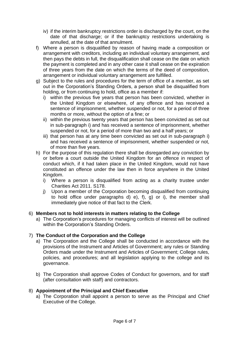- iv) if the interim bankruptcy restrictions order is discharged by the court, on the date of that discharge; or if the bankruptcy restrictions undertaking is annulled, at the date of that annulment.
- f) Where a person is disqualified by reason of having made a composition or arrangement with creditors, including an individual voluntary arrangement, and then pays the debts in full, the disqualification shall cease on the date on which the payment is completed and in any other case it shall cease on the expiration of three years from the date on which the terms of the deed of composition, arrangement or individual voluntary arrangement are fulfilled.
- g) Subject to the rules and procedures for the term of office of a member, as set out in the Corporation's Standing Orders, a person shall be disqualified from holding, or from continuing to hold, office as a member if:
	- i) within the previous five years that person has been convicted, whether in the United Kingdom or elsewhere, of any offence and has received a sentence of imprisonment, whether suspended or not, for a period of three months or more, without the option of a fine; or
	- ii) within the previous twenty years that person has been convicted as set out in sub-paragraph i) and has received a sentence of imprisonment, whether suspended or not, for a period of more than two and a half years; or
	- iii) that person has at any time been convicted as set out in sub-paragraph i) and has received a sentence of imprisonment, whether suspended or not, of more than five years.
- h) For the purpose of this regulation there shall be disregarded any conviction by or before a court outside the United Kingdom for an offence in respect of conduct which, if it had taken place in the United Kingdom, would not have constituted an offence under the law then in force anywhere in the United Kingdom.
	- i) Where a person is disqualified from acting as a charity trustee under Charities Act 2011. S178.
	- j) Upon a member of the Corporation becoming disqualified from continuing to hold office under paragraphs d) e), f), g) or i), the member shall immediately give notice of that fact to the Clerk.

## 6) **Members not to hold interests in matters relating to the College**

a) The Corporation's procedures for managing conflicts of interest will be outlined within the Corporation's Standing Orders.

## 7) **The Conduct of the Corporation and the College**

- a) The Corporation and the College shall be conducted in accordance with the provisions of the Instrument and Articles of Government; any rules or Standing Orders made under the Instrument and Articles of Government; College rules, policies, and procedures; and all legislation applying to the college and its governance.
- b) The Corporation shall approve Codes of Conduct for governors, and for staff (after consultation with staff) and contractors.

## 8) **Appointment of the Principal and Chief Executive**

a) The Corporation shall appoint a person to serve as the Principal and Chief Executive of the College.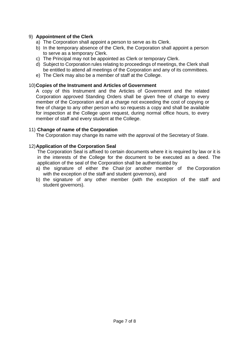### 9) **Appointment of the Clerk**

- a) The Corporation shall appoint a person to serve as its Clerk.
- b) In the temporary absence of the Clerk, the Corporation shall appoint a person to serve as a temporary Clerk.
- c) The Principal may not be appointed as Clerk or temporary Clerk.
- d) Subject to Corporation rules relating to proceedings of meetings, the Clerk shall be entitled to attend all meetings of the Corporation and any of its committees.
- e) The Clerk may also be a member of staff at the College.

#### 10)**Copies of the Instrument and Articles of Government**

A copy of this Instrument and the Articles of Government and the related Corporation approved Standing Orders shall be given free of charge to every member of the Corporation and at a charge not exceeding the cost of copying or free of charge to any other person who so requests a copy and shall be available for inspection at the College upon request, during normal office hours, to every member of staff and every student at the College.

#### 11) **Change of name of the Corporation**

The Corporation may change its name with the approval of the Secretary of State.

#### 12)**Application of the Corporation Seal**

The Corporation Seal is affixed to certain documents where it is required by law or it is in the interests of the College for the document to be executed as a deed. The application of the seal of the Corporation shall be authenticated by

- a) the signature of either the Chair (or another member of the Corporation with the exception of the staff and student governors), and
- b) the signature of any other member (with the exception of the staff and student governors).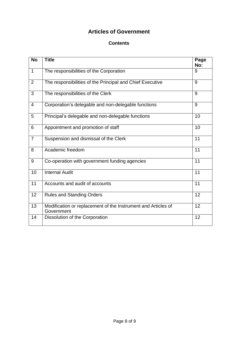## **Articles of Government**

## **Contents**

| <b>No</b>      | <b>Title</b>                                                                | Page<br>No:     |
|----------------|-----------------------------------------------------------------------------|-----------------|
| $\mathbf{1}$   | The responsibilities of the Corporation                                     | 9               |
| 2              | The responsibilities of the Principal and Chief Executive                   | 9               |
| 3              | The responsibilities of the Clerk                                           | 9               |
| $\overline{4}$ | Corporation's delegable and non-delegable functions                         | 9               |
| 5              | Principal's delegable and non-delegable functions                           | 10              |
| 6              | Appointment and promotion of staff                                          | 10              |
| $\overline{7}$ | Suspension and dismissal of the Clerk                                       | 11              |
| 8              | Academic freedom                                                            | 11              |
| 9              | Co-operation with government funding agencies                               | 11              |
| 10             | <b>Internal Audit</b>                                                       | 11              |
| 11             | Accounts and audit of accounts                                              | $\overline{11}$ |
| 12             | <b>Rules and Standing Orders</b>                                            | 12              |
| 13             | Modification or replacement of the Instrument and Articles of<br>Government | 12              |
| 14             | Dissolution of the Corporation                                              | 12              |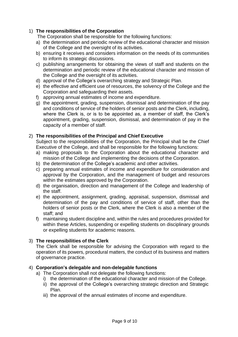## 1) **The responsibilities of the Corporation**

The Corporation shall be responsible for the following functions:

- a) the determination and periodic review of the educational character and mission of the College and the oversight of its activities.
- b) ensuring it receives and considers information on the needs of its communities to inform its strategic discussions.
- c) publishing arrangements for obtaining the views of staff and students on the determination and periodic review of the educational character and mission of the College and the oversight of its activities.
- d) approval of the College's overarching strategy and Strategic Plan.
- e) the effective and efficient use of resources, the solvency of the College and the Corporation and safeguarding their assets.
- f) approving annual estimates of income and expenditure.
- g) the appointment, grading, suspension, dismissal and determination of the pay and conditions of service of the holders of senior posts and the Clerk, including, where the Clerk is, or is to be appointed as, a member of staff, the Clerk's appointment, grading, suspension, dismissal, and determination of pay in the capacity of a member of staff.

### 2) **The responsibilities of the Principal and Chief Executive**

Subject to the responsibilities of the Corporation, the Principal shall be the Chief Executive of the College, and shall be responsible for the following functions:

- a) making proposals to the Corporation about the educational character and mission of the College and implementing the decisions of the Corporation.
- b) the determination of the College's academic and other activities.
- c) preparing annual estimates of income and expenditure for consideration and approval by the Corporation, and the management of budget and resources within the estimates approved by the Corporation.
- d) the organisation, direction and management of the College and leadership of the staff.
- e) the appointment, assignment, grading, appraisal, suspension, dismissal and determination of the pay and conditions of service of staff, other than the holders of senior posts or the Clerk, where the Clerk is also a member of the staff; and
- f) maintaining student discipline and, within the rules and procedures provided for within these Articles, suspending or expelling students on disciplinary grounds or expelling students for academic reasons.

## 3) **The responsibilities of the Clerk**

The Clerk shall be responsible for advising the Corporation with regard to the operation of its powers, procedural matters, the conduct of its business and matters of governance practice.

#### 4) **Corporation's delegable and non-delegable functions**

- a) The Corporation shall not delegate the following functions:
	- i) the determination of the educational character and mission of the College.
	- ii) the approval of the College's overarching strategic direction and Strategic Plan.
	- iii) the approval of the annual estimates of income and expenditure.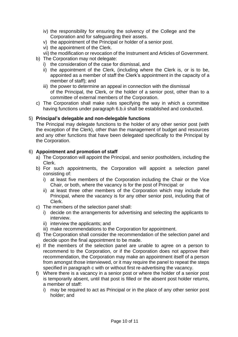- iv) the responsibility for ensuring the solvency of the College and the Corporation and for safeguarding their assets.
- v) the appointment of the Principal or holder of a senior post.
- vi) the appointment of the Clerk.
- vii) the modification or revocation of the Instrument and Articles of Government.
- b) The Corporation may not delegate:
	- i) the consideration of the case for dismissal, and
	- ii) the appointment of the Clerk, (including where the Clerk is, or is to be, appointed as a member of staff the Clerk's appointment in the capacity of a member of staff); and
	- iii) the power to determine an appeal in connection with the dismissal of the Principal, the Clerk, or the holder of a senior post, other than to a committee of external members of the Corporation.
- c) The Corporation shall make rules specifying the way in which a committee having functions under paragraph 6.b.ii shall be established and conducted.

## 5) **Principal's delegable and non-delegable functions**

The Principal may delegate functions to the holder of any other senior post (with the exception of the Clerk), other than the management of budget and resources and any other functions that have been delegated specifically to the Principal by the Corporation.

## 6) **Appointment and promotion of staff**

- a) The Corporation will appoint the Principal, and senior postholders, including the Clerk.
- b) For such appointments, the Corporation will appoint a selection panel consisting of:
	- i) at least five members of the Corporation including the Chair or the Vice Chair, or both, where the vacancy is for the post of Principal: or
	- ii) at least three other members of the Corporation which may include the Principal, where the vacancy is for any other senior post, including that of Clerk.
- c) The members of the selection panel shall:
	- i) decide on the arrangements for advertising and selecting the applicants to interview.
	- ii) interview the applicants; and
	- iii) make recommendations to the Corporation for appointment.
- d) The Corporation shall consider the recommendation of the selection panel and decide upon the final appointment to be made.
- e) If the members of the selection panel are unable to agree on a person to recommend to the Corporation, or if the Corporation does not approve their recommendation, the Corporation may make an appointment itself of a person from amongst those interviewed, or it may require the panel to repeat the steps specified in paragraph c with or without first re-advertising the vacancy.
- f) Where there is a vacancy in a senior post or where the holder of a senior post is temporarily absent, until that post is filled or the absent post holder returns, a member of staff:
	- i) may be required to act as Principal or in the place of any other senior post holder; and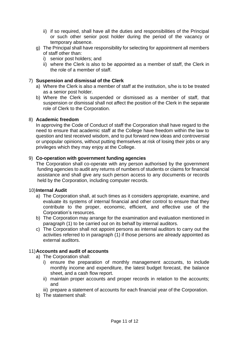- ii) if so required, shall have all the duties and responsibilities of the Principal or such other senior post holder during the period of the vacancy or temporary absence.
- g) The Principal shall have responsibility for selecting for appointment all members of staff other than:
	- i) senior post holders; and
	- ii) where the Clerk is also to be appointed as a member of staff, the Clerk in the role of a member of staff.

### 7) **Suspension and dismissal of the Clerk**

- a) Where the Clerk is also a member of staff at the institution, s/he is to be treated as a senior post holder.
- b) Where the Clerk is suspended or dismissed as a member of staff, that suspension or dismissal shall not affect the position of the Clerk in the separate role of Clerk to the Corporation.

#### 8) **Academic freedom**

In approving the Code of Conduct of staff the Corporation shall have regard to the need to ensure that academic staff at the College have freedom within the law to question and test received wisdom, and to put forward new ideas and controversial or unpopular opinions, without putting themselves at risk of losing their jobs or any privileges which they may enjoy at the College.

#### 9) **Co-operation with government funding agencies**

The Corporation shall co-operate with any person authorised by the government funding agencies to audit any returns of numbers of students or claims for financial assistance and shall give any such person access to any documents or records held by the Corporation, including computer records.

#### 10)**Internal Audit**

- a) The Corporation shall, at such times as it considers appropriate, examine, and evaluate its systems of internal financial and other control to ensure that they contribute to the proper, economic, efficient, and effective use of the Corporation's resources.
- b) The Corporation may arrange for the examination and evaluation mentioned in paragraph (1) to be carried out on its behalf by internal auditors.
- c) The Corporation shall not appoint persons as internal auditors to carry out the activities referred to in paragraph (1) if those persons are already appointed as external auditors.

#### 11)**Accounts and audit of accounts**

- a) The Corporation shall:
	- i) ensure the preparation of monthly management accounts, to include monthly income and expenditure, the latest budget forecast, the balance sheet, and a cash flow report.
	- ii) maintain proper accounts and proper records in relation to the accounts; and
	- iii) prepare a statement of accounts for each financial year of the Corporation.
- b) The statement shall: